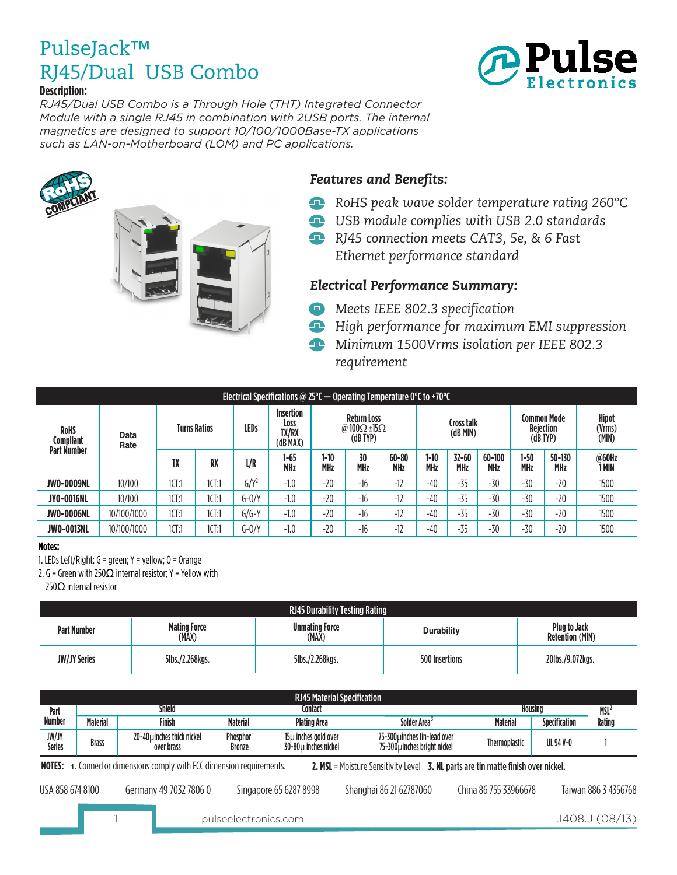

*RJ45/Dual USB Combo is a Through Hole (THT) Integrated Connector Module with a single RJ45 in combination with 2USB ports. The internal magnetics are designed to support 10/100/1000Base-TX applications such as LAN-on-Motherboard (LOM) and PC applications.*





#### *Features and Benefits:*

- *RoHS peak wave solder temperature rating 260°C* œ
- *USB module complies with USB 2.0 standards*
- *RJ45 connection meets CAT3, 5e, & 6 Fast Ethernet performance standard*

#### *Electrical Performance Summary:*

- *Meets IEEE 802.3 specification*
- *High performance for maximum EMI suppression*
- *Minimum 1500Vrms isolation per IEEE 802.3 requirement*

| Electrical Specifications @ 25°C $-$ Operating Temperature 0°C to +70°C |              |                     |       |             |                                        |                    |                                                               |                         |                        |                         |                                           |                    |                                 |                |
|-------------------------------------------------------------------------|--------------|---------------------|-------|-------------|----------------------------------------|--------------------|---------------------------------------------------------------|-------------------------|------------------------|-------------------------|-------------------------------------------|--------------------|---------------------------------|----------------|
| <b>RoHS</b><br><b>Compliant</b><br><b>Part Number</b>                   | Data<br>Rate | <b>Turns Ratios</b> |       | <b>LEDs</b> | Insertion<br>Loss<br>TX/RX<br>(dB MAX) |                    | <b>Return Loss</b><br>@ 100 $\Omega$ ±15 $\Omega$<br>(dB TYP) |                         | Cross talk<br>(dB MIN) |                         | Common Mode<br>Rejection<br>$(dB$ TYP $)$ |                    | <b>Hipot</b><br>(Vrms)<br>(MIN) |                |
|                                                                         |              | TX                  | RX    | L/R         | 1-65<br><b>MHz</b>                     | 1-10<br><b>MHz</b> | 30<br><b>MHz</b>                                              | $60 - 80$<br><b>MHz</b> | 1-10<br><b>MHz</b>     | $32 - 60$<br><b>MHz</b> | $60 - 100$<br><b>MHz</b>                  | 1-50<br><b>MHz</b> | $50 - 130$<br><b>MHz</b>        | @60Hz<br>1 MIN |
| <b>JW0-0009NL</b>                                                       | 10/100       | 1CT:1               | 1CT:1 | $G/Y^2$     | $-1.0$                                 | $-20$              | $-16$                                                         | $-12$                   | $-40$                  | $-35$                   | $-30$                                     | $-30$              | $-20$                           | 1500           |
| <b>JY0-0016NL</b>                                                       | 10/100       | 1CT:1               | 1CT:1 | $G-0/Y$     | $-1.0$                                 | $-20$              | $-16$                                                         | $-12$                   | $-40$                  | $-35$                   | $-30$                                     | $-30$              | $-20$                           | 1500           |
| <b>JW0-0006NL</b>                                                       | 10/100/1000  | 1CT:1               | 1CT:1 | $G/G-Y$     | $-1.0$                                 | $-20$              | $-16$                                                         | $-12$                   | $-40$                  | $-35$                   | $-30$                                     | $-30$              | $-20$                           | 1500           |
| <b>JWO-0013NL</b>                                                       | 10/100/1000  | 1CT:1               | 1CT:1 | $G-0/Y$     | $-1.0$                                 | $-20$              | $-16$                                                         | $-12$                   | $-40$                  | $-35$                   | $-30$                                     | $-30$              | $-20$                           | 1500           |

#### **Notes:**

1. LEDs Left/Right: G = green; Y = yellow; O = Orange

2. G = Green with 250 $\Omega$  internal resistor; Y = Yellow with

250Ω internal resistor

| <b>RJ45 Durability Testing Rating</b> |                              |                                |                   |                                               |  |  |  |
|---------------------------------------|------------------------------|--------------------------------|-------------------|-----------------------------------------------|--|--|--|
| <b>Part Number</b>                    | <b>Mating Force</b><br>(MAX) | <b>Unmating Force</b><br>(MAX) | <b>Durability</b> | <b>Plug to Jack</b><br><b>Retention (MIN)</b> |  |  |  |
| <b>JW/JY Series</b>                   | 5lbs./2.268kgs.              | 5lbs./2.268kgs.                | 500 Insertions    | 20lbs./9.072kgs.                              |  |  |  |

|                        | <b>RJ45 Material Specification</b>                                                                                                                                 |                                          |                    |                                                      |                                                              |                       |                      |                      |
|------------------------|--------------------------------------------------------------------------------------------------------------------------------------------------------------------|------------------------------------------|--------------------|------------------------------------------------------|--------------------------------------------------------------|-----------------------|----------------------|----------------------|
| Part                   |                                                                                                                                                                    | <b>Shield</b>                            |                    | Contact                                              |                                                              |                       | Housing              | <b>MSL</b>           |
| <b>Number</b>          | <b>Material</b>                                                                                                                                                    | Finish                                   | <b>Material</b>    | <b>Plating Area</b>                                  | Solder Area <sup>3</sup>                                     | <b>Material</b>       | <b>Specification</b> | <b>Rating</b>        |
| JW/JY<br><b>Series</b> | <b>Brass</b>                                                                                                                                                       | 20-40 µinches thick nickel<br>over brass | Phosphor<br>Bronze | $15\mu$ inches gold over<br>$30-80\mu$ inches nickel | 75-300 µinches tin-lead over<br>75-300 pinches bright nickel | Thermoplastic         | UL 94 V-0            |                      |
|                        | <b>NOTES:</b> 1. Connector dimensions comply with FCC dimension requirements.<br>2. MSL = Moisture Sensitivity Level 3. NL parts are tin matte finish over nickel. |                                          |                    |                                                      |                                                              |                       |                      |                      |
| USA 858 674 8100       |                                                                                                                                                                    | Germany 49 7032 7806 0                   |                    | Singapore 65 6287 8998                               | Shanghai 86 21 62787060                                      | China 86 755 33966678 |                      | Taiwan 886 3 4356768 |
|                        |                                                                                                                                                                    |                                          |                    | pulseelectronics.com                                 |                                                              |                       |                      | J408.J (08/13)       |

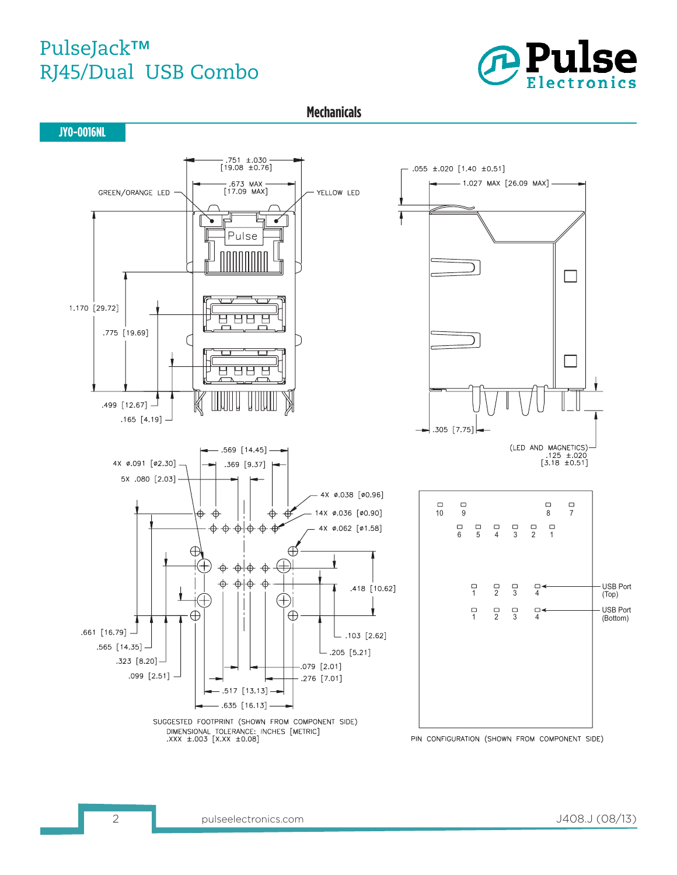

**Mechanicals**

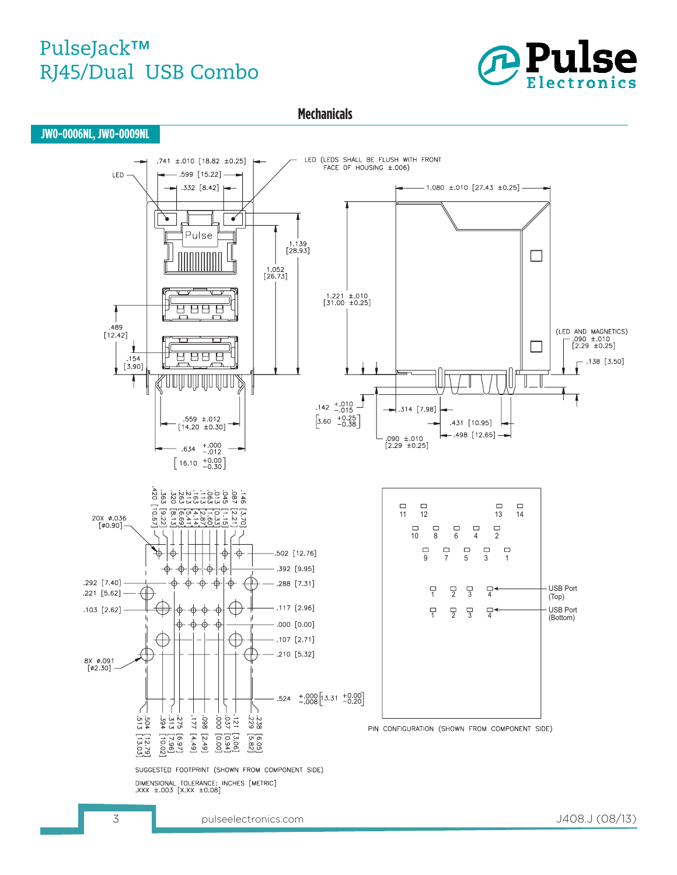

**Mechanicals**



3 pulseelectronics.com J408.J (08/13)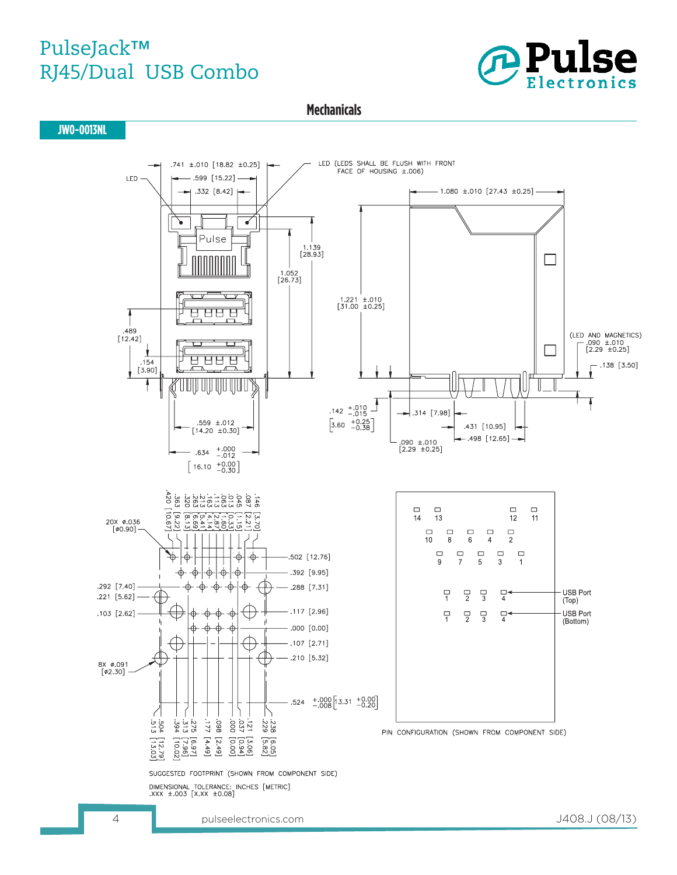

**Mechanicals**

**JW0-0013NL**

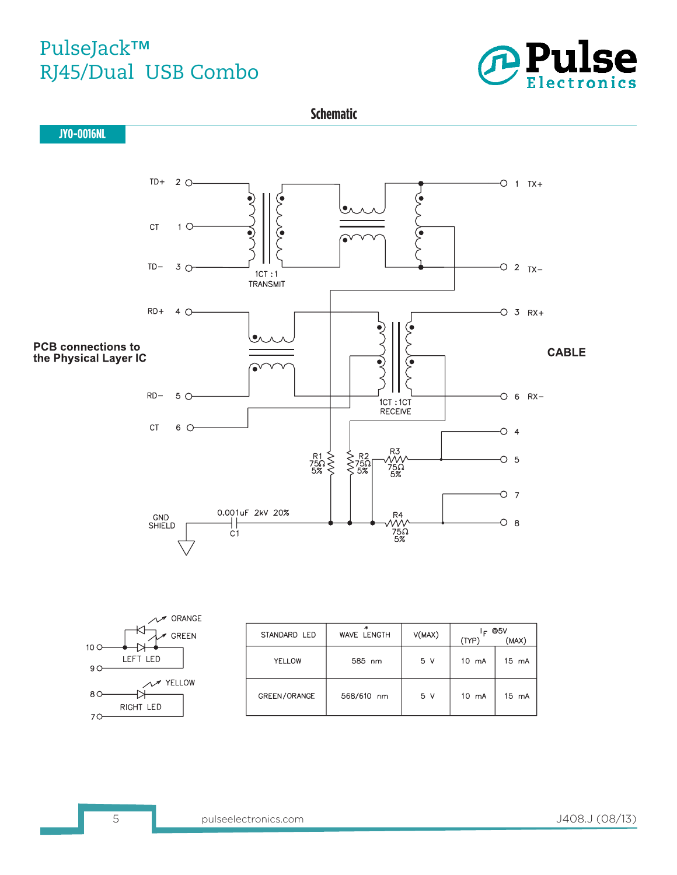





| STANDARD LED | WAVE LENGTH | V(MAX) | F.<br>(TYP)     | @5V<br>(MAX)    |
|--------------|-------------|--------|-----------------|-----------------|
| YELLOW       | 585 nm      | 5 V    | 10 mA           | $15 \text{ mA}$ |
| GREEN/ORANGE | 568/610 nm  | 5 V    | $10 \text{ mA}$ | 15 mA           |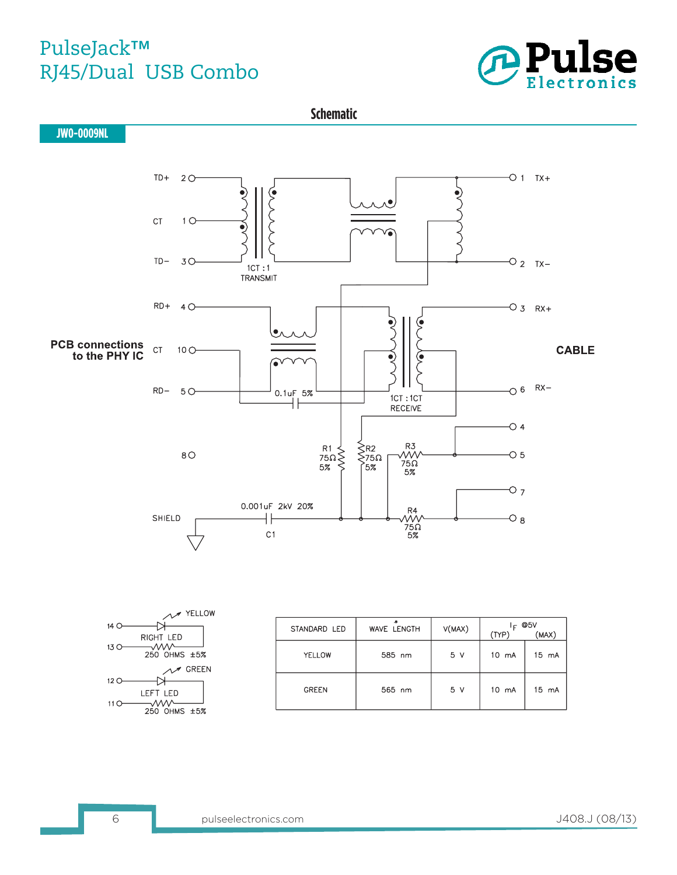



|      | YELLOW       |
|------|--------------|
| 14 C |              |
|      | RIGHT LED    |
| 13 C | 250 OHMS ±5% |
|      | <b>GREEN</b> |
| 12 C |              |
|      | LEFT LED     |
| 11   | 250 OHMS +5% |
|      |              |

| STANDARD LED | WAVE LENGTH | V(MAX)         | ے ا<br>(TYP) | @5V<br>(MAX) |
|--------------|-------------|----------------|--------------|--------------|
| YELLOW       | 585 nm      | 5 <sub>v</sub> | 10 mA        | 15 mA        |
| <b>GREEN</b> | 565 nm      | 5 <sub>v</sub> | 10 mA        | 15 mA        |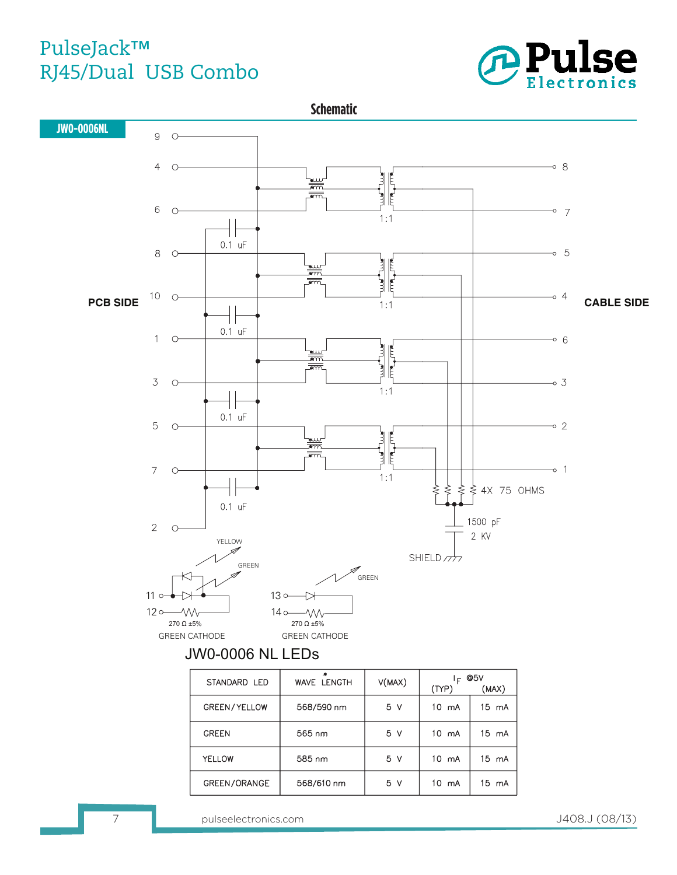



| STANDARD LED        | WAVE LENGTH | V(MAX) | @5V<br>È        |                 |  |
|---------------------|-------------|--------|-----------------|-----------------|--|
|                     |             |        | (TYP)           | (MAX)           |  |
| <b>GREEN/YELLOW</b> | 568/590 nm  | 5 V    | $10 \text{ mA}$ | $15 \text{ mA}$ |  |
| <b>GREEN</b>        | 565 nm      | 5 V    | $10 \text{ mA}$ | 15 mA           |  |
| YELLOW              | 585 nm      | 5 V    | $10 \text{ mA}$ | $15 \text{ mA}$ |  |
| GREEN/ORANGE        | 568/610 nm  | 5 V    | $10 \text{ mA}$ | 15 mA           |  |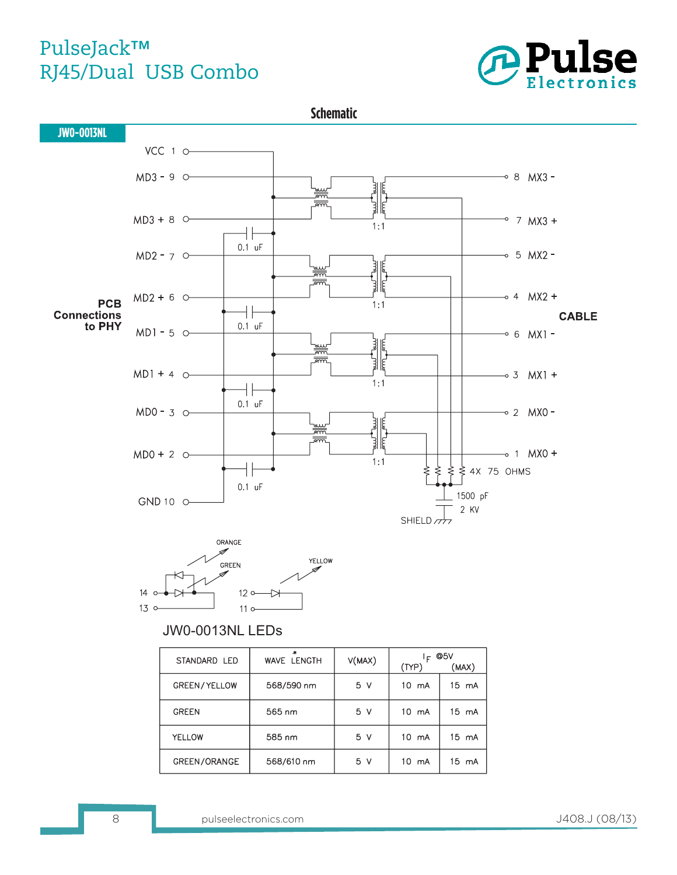



585 nm

568/610 nm

 $5<sub>v</sub>$ 

 $5<sub>v</sub>$ 

10 mA

10 mA

15 mA

15 mA

**YELLOW** 

GREEN/ORANGE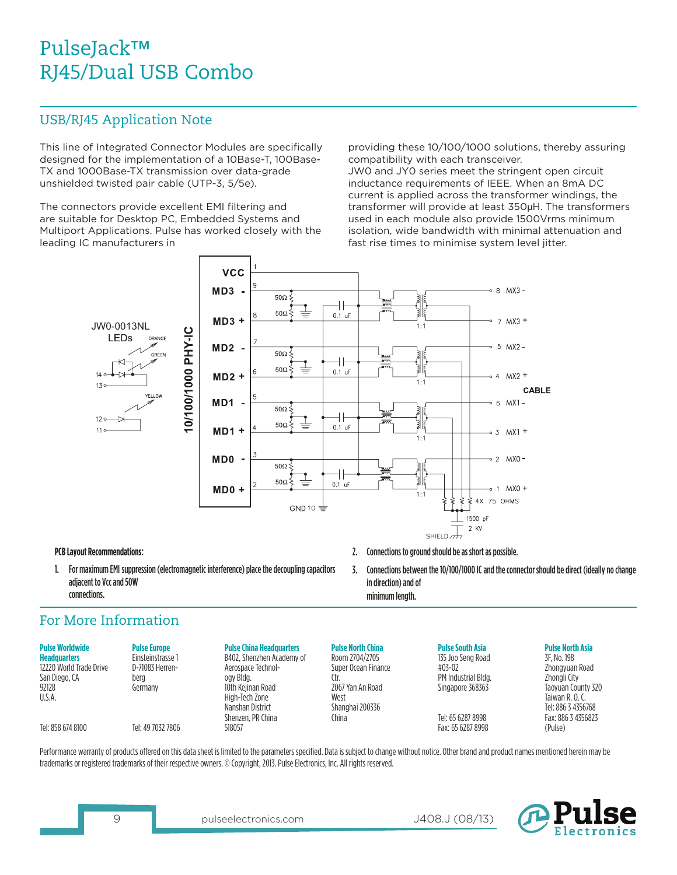#### USB/RJ45 Application Note

This line of Integrated Connector Modules are specifically designed for the implementation of a 10Base-T, 100Base-TX and 1000Base-TX transmission over data-grade unshielded twisted pair cable (UTP-3, 5/5e).

The connectors provide excellent EMI filtering and are suitable for Desktop PC, Embedded Systems and Multiport Applications. Pulse has worked closely with the leading IC manufacturers in

providing these 10/100/1000 solutions, thereby assuring compatibility with each transceiver.

JW0 and JY0 series meet the stringent open circuit inductance requirements of IEEE. When an 8mA DC current is applied across the transformer windings, the transformer will provide at least 350µH. The transformers used in each module also provide 1500Vrms minimum isolation, wide bandwidth with minimal attenuation and fast rise times to minimise system level jitter.



#### **PCB Layout Recommendations:**

1. For maximum EMI suppression (electromagnetic interference) place the decoupling capacitors adjacent to Vcc and 50W connections.

#### For More Information

| <b>Pulse Worldwide</b><br><b>Headquarters</b><br>12220 World Trade Drive<br>San Diego, CA<br>92128<br>U.S.A. | <b>Pulse Europe</b><br>Einsteinstrasse 1<br>D-71083 Herren-<br>bera<br>Germany | <b>Pulse China Headquarters</b><br>B402. Shenzhen Academy of<br>Aerospace Technol-<br>ogy Bldg.<br>10th Keiinan Road<br>High-Tech Zone<br>Nanshan District<br>Shenzen, PR China | <b>Pulse North China</b><br>Room 2704/2705<br>Super Ocean Finance<br>Ctr.<br>2067 Yan An Road<br>West<br>Shanghai 200336<br>China | <b>Pulse South Asia</b><br>135 Joo Seng Road<br>#03-02<br>PM Industrial Bldg.<br>Singapore 368363<br>Tel: 65 6287 8998 | <b>Pulse North Asia</b><br>3F. No. 198<br>Zhongvuan Road<br>Zhongli City<br>Taoyuan County 320<br>Taiwan R. O. C.<br>Tel: 886 3 4356768<br>Fax: 886 3 4356823 |
|--------------------------------------------------------------------------------------------------------------|--------------------------------------------------------------------------------|---------------------------------------------------------------------------------------------------------------------------------------------------------------------------------|-----------------------------------------------------------------------------------------------------------------------------------|------------------------------------------------------------------------------------------------------------------------|---------------------------------------------------------------------------------------------------------------------------------------------------------------|
| Tel: 858 674 8100                                                                                            | Tel: 49 7032 7806                                                              | 518057                                                                                                                                                                          |                                                                                                                                   | Fax: 65 6287 8998                                                                                                      | (Pulse)                                                                                                                                                       |

Performance warranty of products offered on this data sheet is limited to the parameters specified. Data is subject to change without notice. Other brand and product names mentioned herein may be trademarks or registered trademarks of their respective owners. © Copyright, 2013. Pulse Electronics, Inc. All rights reserved.

J408.J (08/13)

2. Connections to ground should be as short as possible.

in direction) and of minimum length.

3. Connections between the 10/100/1000 IC and the connector should be direct (ideally no change